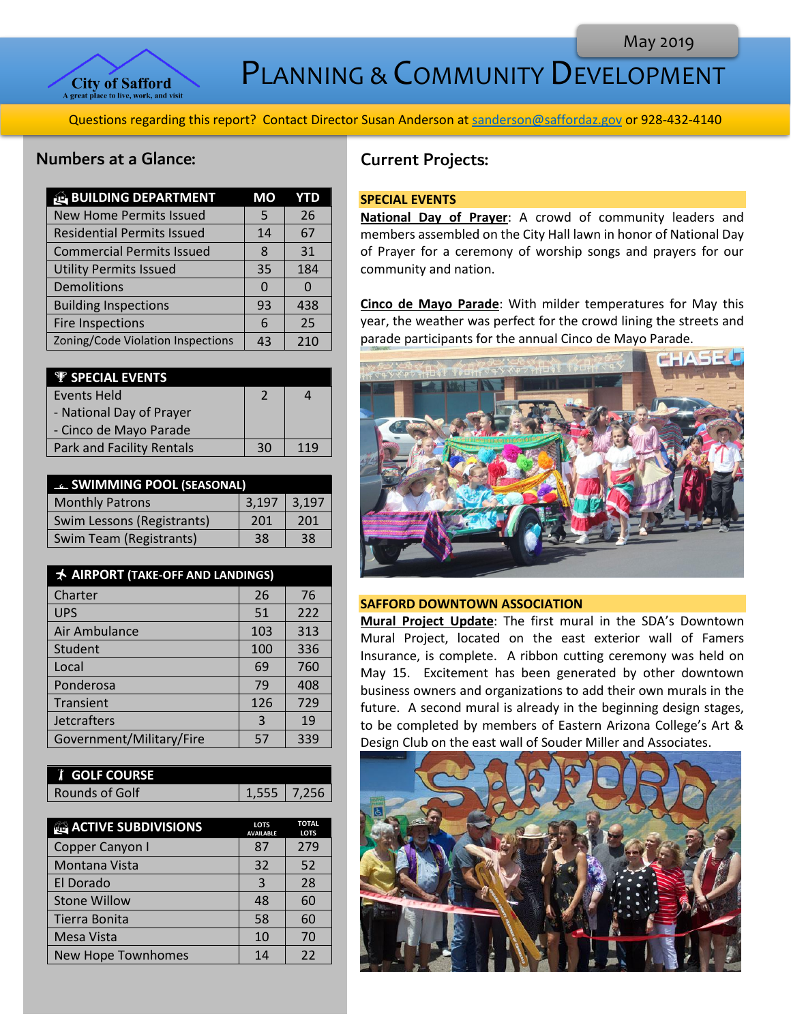

PLANNING & COMMUNITY DEVELOPMENT

Questions regarding this report? Contact Director Susan Anderson a[t sanderson@saffordaz.gov](mailto:sanderson@saffordaz.gov) or 928-432-4140

# Numbers at a Glance:

| <b>BUILDING DEPARTMENT</b>        | MО |     |
|-----------------------------------|----|-----|
| <b>New Home Permits Issued</b>    | 5  | 26  |
| <b>Residential Permits Issued</b> | 14 | 67  |
| <b>Commercial Permits Issued</b>  | 8  | 31  |
| <b>Utility Permits Issued</b>     | 35 | 184 |
| Demolitions                       | O  | 0   |
| <b>Building Inspections</b>       | 93 | 438 |
| <b>Fire Inspections</b>           | 6  | 25  |
| Zoning/Code Violation Inspections | 43 | 210 |

| <b><i>V SPECIAL EVENTS</i></b>   |    |     |
|----------------------------------|----|-----|
| <b>Events Held</b>               |    |     |
| - National Day of Prayer         |    |     |
| - Cinco de Mayo Parade           |    |     |
| <b>Park and Facility Rentals</b> | 30 | 119 |

| <b>EL SWIMMING POOL (SEASONAL)</b> |       |       |
|------------------------------------|-------|-------|
| <b>Monthly Patrons</b>             | 3,197 | 3,197 |
| Swim Lessons (Registrants)         | 201   | 201   |
| Swim Team (Registrants)            | 38    | -38   |

| <b>★ AIRPORT (TAKE-OFF AND LANDINGS)</b> |     |     |
|------------------------------------------|-----|-----|
| Charter                                  | 26  | 76  |
| <b>UPS</b>                               | 51  | 222 |
| Air Ambulance                            | 103 | 313 |
| Student                                  | 100 | 336 |
| Local                                    | 69  | 760 |
| Ponderosa                                | 79  | 408 |
| Transient                                | 126 | 729 |
| <b>Jetcrafters</b>                       | 3   | 19  |
| Government/Military/Fire                 | 57  | 339 |

| <b>f</b> GOLF COURSE |               |  |
|----------------------|---------------|--|
| Rounds of Golf       | $1,555$ 7,256 |  |

| <b>ACTIVE SUBDIVISIONS</b> | <b>LOTS</b><br><b>AVAILABLE</b> | <b>TOTAL</b><br><b>LOTS</b> |
|----------------------------|---------------------------------|-----------------------------|
| Copper Canyon I            | 87                              | 279                         |
| Montana Vista              | 32                              | 52                          |
| El Dorado                  | 3                               | 28                          |
| <b>Stone Willow</b>        | 48                              | 60                          |
| Tierra Bonita              | 58                              | 60                          |
| Mesa Vista                 | 10                              | 70                          |
| New Hope Townhomes         | 14                              | 22                          |

# Current Projects:

### **SPECIAL EVENTS**

**National Day of Prayer**: A crowd of community leaders and members assembled on the City Hall lawn in honor of National Day of Prayer for a ceremony of worship songs and prayers for our community and nation.

**Cinco de Mayo Parade**: With milder temperatures for May this year, the weather was perfect for the crowd lining the streets and parade participants for the annual Cinco de Mayo Parade.



## **SAFFORD DOWNTOWN ASSOCIATION**

**Mural Project Update**: The first mural in the SDA's Downtown Mural Project, located on the east exterior wall of Famers Insurance, is complete. A ribbon cutting ceremony was held on May 15. Excitement has been generated by other downtown business owners and organizations to add their own murals in the future. A second mural is already in the beginning design stages, to be completed by members of Eastern Arizona College's Art & Design Club on the east wall of Souder Miller and Associates.